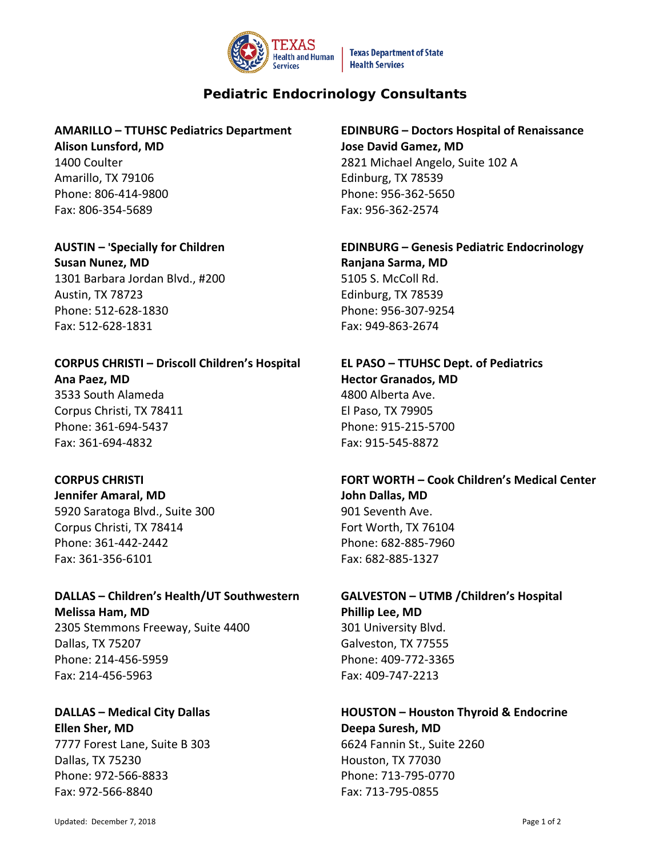

**Texas Department of State Health Services** 

# **Pediatric Endocrinology Consultants**

### **AMARILLO – TTUHSC Pediatrics Department Alison Lunsford, MD**

1400 Coulter Amarillo, TX 79106 Phone: 806-414-9800 Fax: 806-354-5689

## **AUSTIN – 'Specially for Children**

**Susan Nunez, MD** 1301 Barbara Jordan Blvd., #200 Austin, TX 78723 Phone: 512-628-1830 Fax: 512-628-1831

# **CORPUS CHRISTI – Driscoll Children's Hospital Ana Paez, MD**  3533 South Alameda Corpus Christi, TX 78411 Phone: 361-694-5437 Fax: 361-694-4832

### **CORPUS CHRISTI**

**Jennifer Amaral, MD** 5920 Saratoga Blvd., Suite 300 Corpus Christi, TX 78414 Phone: 361-442-2442 Fax: 361-356-6101

### **DALLAS – Children's Health/UT Southwestern Melissa Ham, MD**

2305 Stemmons Freeway, Suite 4400 Dallas, TX 75207 Phone: 214-456-5959 Fax: 214-456-5963

## **DALLAS – Medical City Dallas Ellen Sher, MD** 7777 Forest Lane, Suite B 303 Dallas, TX 75230 Phone: 972-566-8833

**EDINBURG – Doctors Hospital of Renaissance Jose David Gamez, MD** 2821 Michael Angelo, Suite 102 A Edinburg, TX 78539 Phone: 956-362-5650 Fax: 956-362-2574

## **EDINBURG – Genesis Pediatric Endocrinology Ranjana Sarma, MD** 5105 S. McColl Rd. Edinburg, TX 78539 Phone: 956-307-9254 Fax: 949-863-2674

## **EL PASO – TTUHSC Dept. of Pediatrics Hector Granados, MD** 4800 Alberta Ave. El Paso, TX 79905 Phone: 915-215-5700 Fax: 915-545-8872

## **FORT WORTH – Cook Children's Medical Center John Dallas, MD** 901 Seventh Ave. Fort Worth, TX 76104 Phone: 682-885-7960 Fax: 682-885-1327

# **GALVESTON – UTMB /Children's Hospital Phillip Lee, MD** 301 University Blvd. Galveston, TX 77555

Phone: 409-772-3365 Fax: 409-747-2213

# **HOUSTON – Houston Thyroid & Endocrine**

**Deepa Suresh, MD** 6624 Fannin St., Suite 2260 Houston, TX 77030 Phone: 713-795-0770 Fax: 713-795-0855

Fax: 972-566-8840